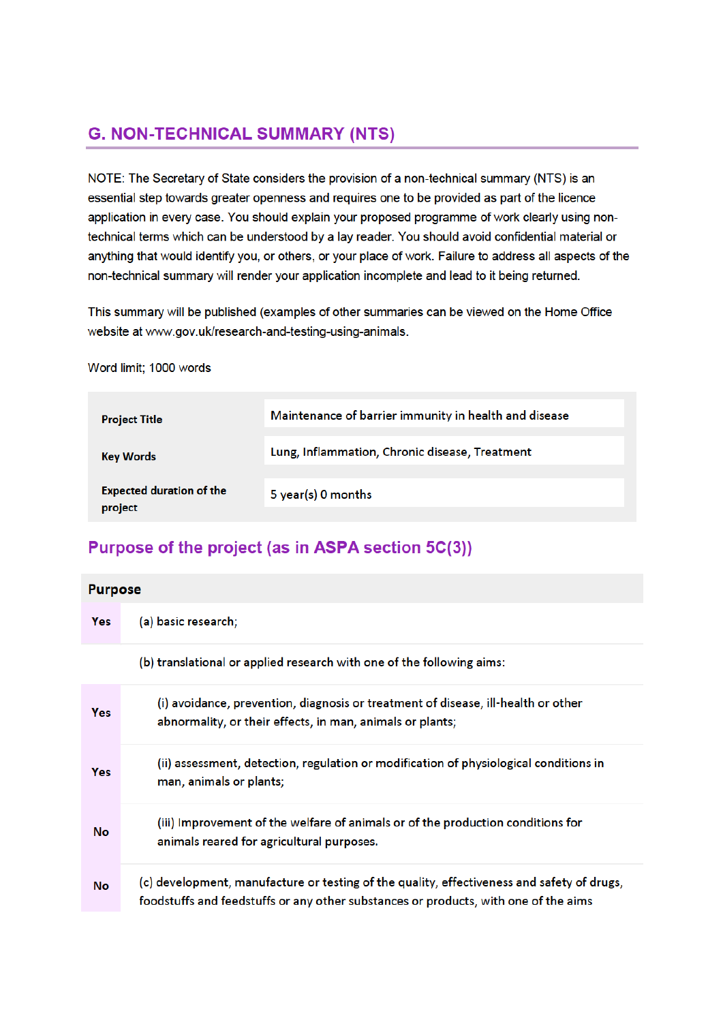# **G. NON-TECHNICAL SUMMARY (NTS)**

NOTE: The Secretary of State considers the provision of a non-technical summary (NTS) is an essential step towards greater openness and requires one to be provided as part of the licence application in every case. You should explain your proposed programme of work clearly using nontechnical terms which can be understood by a lay reader. You should avoid confidential material or anything that would identify you, or others, or your place of work. Failure to address all aspects of the non-technical summary will render your application incomplete and lead to it being returned.

This summary will be published (examples of other summaries can be viewed on the Home Office website at www.gov.uk/research-and-testing-using-animals.

Word limit: 1000 words

| <b>Project Title</b>                       | Maintenance of barrier immunity in health and disease |
|--------------------------------------------|-------------------------------------------------------|
| <b>Key Words</b>                           | Lung, Inflammation, Chronic disease, Treatment        |
| <b>Expected duration of the</b><br>project | 5 year(s) 0 months                                    |

# Purpose of the project (as in ASPA section 5C(3))

| <b>Purpose</b> |                                                                                                                                                                                   |
|----------------|-----------------------------------------------------------------------------------------------------------------------------------------------------------------------------------|
| Yes            | (a) basic research;                                                                                                                                                               |
|                | (b) translational or applied research with one of the following aims:                                                                                                             |
| Yes            | (i) avoidance, prevention, diagnosis or treatment of disease, ill-health or other<br>abnormality, or their effects, in man, animals or plants;                                    |
| Yes            | (ii) assessment, detection, regulation or modification of physiological conditions in<br>man, animals or plants;                                                                  |
| No             | (iii) Improvement of the welfare of animals or of the production conditions for<br>animals reared for agricultural purposes.                                                      |
| No             | (c) development, manufacture or testing of the quality, effectiveness and safety of drugs,<br>foodstuffs and feedstuffs or any other substances or products, with one of the aims |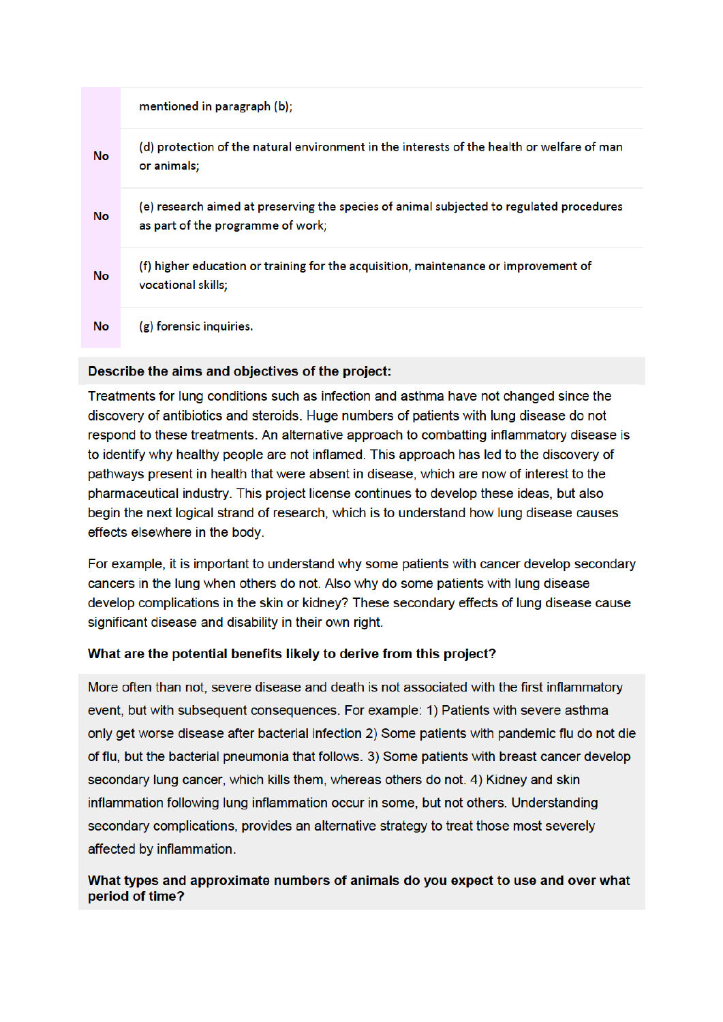|    | mentioned in paragraph (b);                                                                                                   |
|----|-------------------------------------------------------------------------------------------------------------------------------|
| No | (d) protection of the natural environment in the interests of the health or welfare of man<br>or animals;                     |
| No | (e) research aimed at preserving the species of animal subjected to regulated procedures<br>as part of the programme of work; |
| No | (f) higher education or training for the acquisition, maintenance or improvement of<br>vocational skills;                     |
| No | (g) forensic inquiries.                                                                                                       |

### Describe the aims and objectives of the project:

Treatments for lung conditions such as infection and asthma have not changed since the discovery of antibiotics and steroids. Huge numbers of patients with lung disease do not respond to these treatments. An alternative approach to combatting inflammatory disease is to identify why healthy people are not inflamed. This approach has led to the discovery of pathways present in health that were absent in disease, which are now of interest to the pharmaceutical industry. This project license continues to develop these ideas, but also begin the next logical strand of research, which is to understand how lung disease causes effects elsewhere in the body.

For example, it is important to understand why some patients with cancer develop secondary cancers in the lung when others do not. Also why do some patients with lung disease develop complications in the skin or kidney? These secondary effects of lung disease cause significant disease and disability in their own right.

## What are the potential benefits likely to derive from this project?

More often than not, severe disease and death is not associated with the first inflammatory event, but with subsequent consequences. For example: 1) Patients with severe asthma only get worse disease after bacterial infection 2) Some patients with pandemic flu do not die of flu, but the bacterial pneumonia that follows. 3) Some patients with breast cancer develop secondary lung cancer, which kills them, whereas others do not. 4) Kidney and skin inflammation following lung inflammation occur in some, but not others. Understanding secondary complications, provides an alternative strategy to treat those most severely affected by inflammation.

### What types and approximate numbers of animals do you expect to use and over what period of time?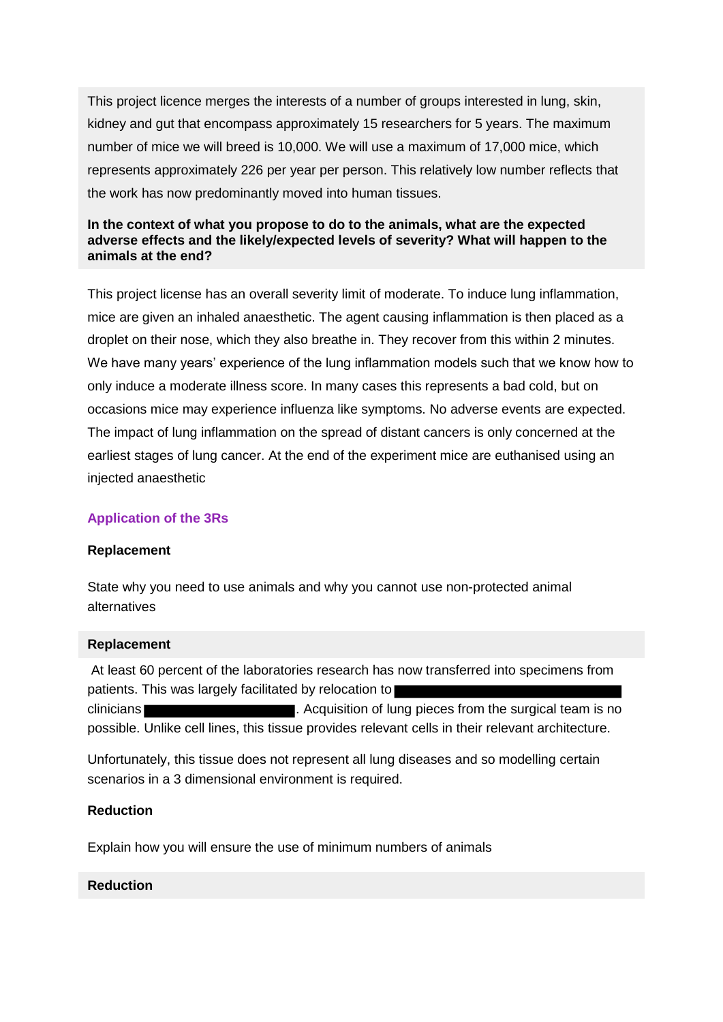This project licence merges the interests of a number of groups interested in lung, skin, kidney and gut that encompass approximately 15 researchers for 5 years. The maximum number of mice we will breed is 10,000. We will use a maximum of 17,000 mice, which represents approximately 226 per year per person. This relatively low number reflects that the work has now predominantly moved into human tissues.

#### **In the context of what you propose to do to the animals, what are the expected adverse effects and the likely/expected levels of severity? What will happen to the animals at the end?**

This project license has an overall severity limit of moderate. To induce lung inflammation, mice are given an inhaled anaesthetic. The agent causing inflammation is then placed as a droplet on their nose, which they also breathe in. They recover from this within 2 minutes. We have many years' experience of the lung inflammation models such that we know how to only induce a moderate illness score. In many cases this represents a bad cold, but on occasions mice may experience influenza like symptoms. No adverse events are expected. The impact of lung inflammation on the spread of distant cancers is only concerned at the earliest stages of lung cancer. At the end of the experiment mice are euthanised using an injected anaesthetic

#### **Application of the 3Rs**

#### **Replacement**

State why you need to use animals and why you cannot use non-protected animal alternatives

#### **Replacement**

At least 60 percent of the laboratories research has now transferred into specimens from patients. This was largely facilitated by relocation to clinicians **Exercise 20 Contract 20 Contract 20 and 20 and 20 and 20 and 20 and 20 and 20 and 20 and 20 and 20 and 20 and 20 and 20 and 20 and 20 and 20 and 20 and 20 and 20 and 20 and 20 and 20 and 20 and 20 and 20 an** possible. Unlike cell lines, this tissue provides relevant cells in their relevant architecture.

Unfortunately, this tissue does not represent all lung diseases and so modelling certain scenarios in a 3 dimensional environment is required.

#### **Reduction**

Explain how you will ensure the use of minimum numbers of animals

#### **Reduction**